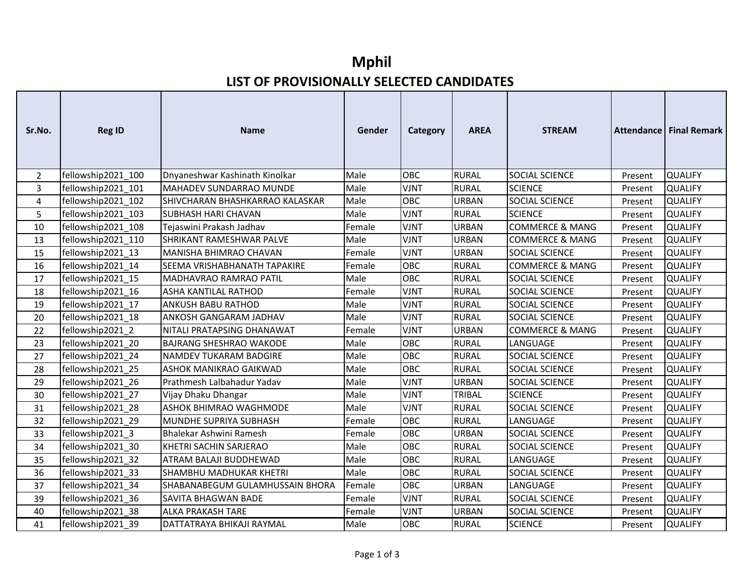## **Mphil LIST OF PROVISIONALLY SELECTED CANDIDATES**

| Sr.No. | <b>Reg ID</b>      | <b>Name</b>                         | Gender | Category    | <b>AREA</b>   | <b>STREAM</b>              |         | Attendance Final Remark |
|--------|--------------------|-------------------------------------|--------|-------------|---------------|----------------------------|---------|-------------------------|
| 2      | fellowship2021 100 | Dnyaneshwar Kashinath Kinolkar      | Male   | OBC         | <b>RURAL</b>  | <b>SOCIAL SCIENCE</b>      | Present | <b>QUALIFY</b>          |
| 3      | fellowship2021_101 | MAHADEV SUNDARRAO MUNDE             | Male   | <b>VJNT</b> | <b>RURAL</b>  | <b>SCIENCE</b>             | Present | <b>QUALIFY</b>          |
| 4      | fellowship2021 102 | SHIVCHARAN BHASHKARRAO KALASKAR     | Male   | <b>OBC</b>  | <b>URBAN</b>  | <b>SOCIAL SCIENCE</b>      | Present | <b>QUALIFY</b>          |
| 5      | fellowship2021 103 | <b>SUBHASH HARI CHAVAN</b>          | Male   | <b>VJNT</b> | <b>RURAL</b>  | <b>SCIENCE</b>             | Present | <b>QUALIFY</b>          |
| 10     | fellowship2021_108 | Tejaswini Prakash Jadhav            | Female | <b>VJNT</b> | <b>URBAN</b>  | <b>COMMERCE &amp; MANG</b> | Present | <b>QUALIFY</b>          |
| 13     | fellowship2021 110 | <b>SHRIKANT RAMESHWAR PALVE</b>     | Male   | <b>VJNT</b> | <b>URBAN</b>  | <b>COMMERCE &amp; MANG</b> | Present | <b>QUALIFY</b>          |
| 15     | fellowship2021 13  | MANISHA BHIMRAO CHAVAN              | Female | <b>VJNT</b> | <b>URBAN</b>  | SOCIAL SCIENCE             | Present | <b>QUALIFY</b>          |
| 16     | fellowship2021 14  | <b>SEEMA VRISHABHANATH TAPAKIRE</b> | Female | OBC         | <b>RURAL</b>  | <b>COMMERCE &amp; MANG</b> | Present | <b>QUALIFY</b>          |
| 17     | fellowship2021 15  | MADHAVRAO RAMRAO PATIL              | Male   | <b>OBC</b>  | <b>RURAL</b>  | SOCIAL SCIENCE             | Present | <b>QUALIFY</b>          |
| 18     | fellowship2021 16  | <b>ASHA KANTILAL RATHOD</b>         | Female | <b>VJNT</b> | <b>RURAL</b>  | SOCIAL SCIENCE             | Present | <b>QUALIFY</b>          |
| 19     | fellowship2021_17  | <b>ANKUSH BABU RATHOD</b>           | Male   | <b>VJNT</b> | <b>RURAL</b>  | SOCIAL SCIENCE             | Present | <b>QUALIFY</b>          |
| 20     | fellowship2021 18  | <b>ANKOSH GANGARAM JADHAV</b>       | Male   | <b>VJNT</b> | <b>RURAL</b>  | SOCIAL SCIENCE             | Present | <b>QUALIFY</b>          |
| 22     | fellowship2021 2   | NITALI PRATAPSING DHANAWAT          | Female | <b>VJNT</b> | <b>URBAN</b>  | <b>COMMERCE &amp; MANG</b> | Present | <b>QUALIFY</b>          |
| 23     | fellowship2021 20  | <b>BAJRANG SHESHRAO WAKODE</b>      | Male   | OBC         | <b>RURAL</b>  | LANGUAGE                   | Present | <b>QUALIFY</b>          |
| 27     | fellowship2021 24  | <b>NAMDEV TUKARAM BADGIRE</b>       | Male   | OBC         | <b>RURAL</b>  | SOCIAL SCIENCE             | Present | <b>QUALIFY</b>          |
| 28     | fellowship2021 25  | <b>ASHOK MANIKRAO GAIKWAD</b>       | Male   | OBC         | <b>RURAL</b>  | SOCIAL SCIENCE             | Present | <b>QUALIFY</b>          |
| 29     | fellowship2021 26  | Prathmesh Lalbahadur Yadav          | Male   | <b>VJNT</b> | <b>URBAN</b>  | SOCIAL SCIENCE             | Present | <b>QUALIFY</b>          |
| 30     | fellowship2021 27  | Vijay Dhaku Dhangar                 | Male   | <b>VJNT</b> | <b>TRIBAL</b> | <b>SCIENCE</b>             | Present | <b>QUALIFY</b>          |
| 31     | fellowship2021 28  | <b>ASHOK BHIMRAO WAGHMODE</b>       | Male   | <b>VJNT</b> | <b>RURAL</b>  | SOCIAL SCIENCE             | Present | <b>QUALIFY</b>          |
| 32     | fellowship2021_29  | MUNDHE SUPRIYA SUBHASH              | Female | OBC         | <b>RURAL</b>  | LANGUAGE                   | Present | <b>QUALIFY</b>          |
| 33     | fellowship2021 3   | Bhalekar Ashwini Ramesh             | Female | OBC         | <b>URBAN</b>  | <b>SOCIAL SCIENCE</b>      | Present | <b>QUALIFY</b>          |
| 34     | fellowship2021 30  | KHETRI SACHIN SARJERAO              | Male   | <b>OBC</b>  | <b>RURAL</b>  | SOCIAL SCIENCE             | Present | <b>QUALIFY</b>          |
| 35     | fellowship2021 32  | <b>ATRAM BALAJI BUDDHEWAD</b>       | Male   | <b>OBC</b>  | <b>RURAL</b>  | LANGUAGE                   | Present | <b>QUALIFY</b>          |
| 36     | fellowship2021 33  | <b>SHAMBHU MADHUKAR KHETRI</b>      | Male   | <b>OBC</b>  | <b>RURAL</b>  | <b>SOCIAL SCIENCE</b>      | Present | <b>QUALIFY</b>          |
| 37     | fellowship2021_34  | SHABANABEGUM GULAMHUSSAIN BHORA     | Female | OBC         | <b>URBAN</b>  | LANGUAGE                   | Present | <b>QUALIFY</b>          |
| 39     | fellowship2021 36  | <b>SAVITA BHAGWAN BADE</b>          | Female | <b>VJNT</b> | <b>RURAL</b>  | SOCIAL SCIENCE             | Present | <b>QUALIFY</b>          |
| 40     | fellowship2021 38  | <b>ALKA PRAKASH TARE</b>            | Female | <b>VJNT</b> | <b>URBAN</b>  | SOCIAL SCIENCE             | Present | <b>QUALIFY</b>          |
| 41     | fellowship2021 39  | DATTATRAYA BHIKAJI RAYMAL           | Male   | OBC         | <b>RURAL</b>  | <b>SCIENCE</b>             | Present | <b>QUALIFY</b>          |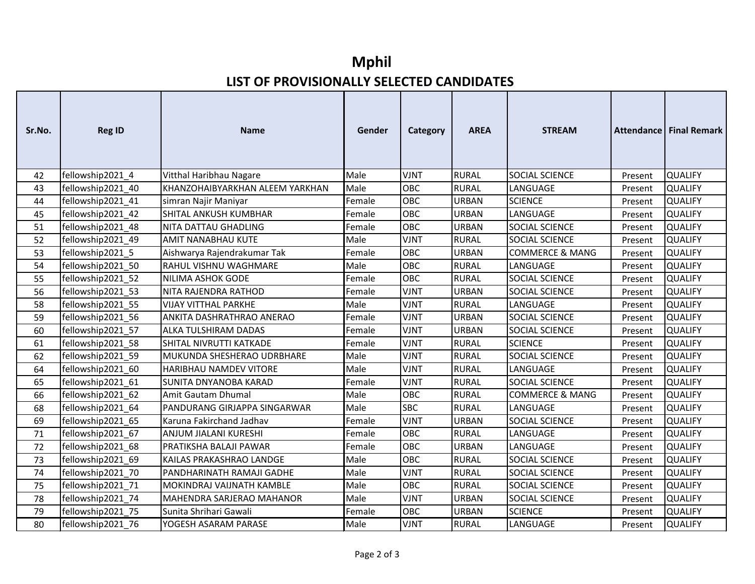## **Mphil LIST OF PROVISIONALLY SELECTED CANDIDATES**

| Sr.No. | <b>Reg ID</b>     | <b>Name</b>                     | Gender | Category    | <b>AREA</b>  | <b>STREAM</b>              |         | <b>Attendance   Final Remark</b> |
|--------|-------------------|---------------------------------|--------|-------------|--------------|----------------------------|---------|----------------------------------|
| 42     | fellowship2021_4  | Vitthal Haribhau Nagare         | Male   | <b>VJNT</b> | <b>RURAL</b> | SOCIAL SCIENCE             | Present | <b>QUALIFY</b>                   |
| 43     | fellowship2021 40 | KHANZOHAIBYARKHAN ALEEM YARKHAN | Male   | OBC         | <b>RURAL</b> | LANGUAGE                   | Present | <b>QUALIFY</b>                   |
| 44     | fellowship2021_41 | simran Najir Maniyar            | Female | <b>OBC</b>  | <b>URBAN</b> | <b>SCIENCE</b>             | Present | <b>QUALIFY</b>                   |
| 45     | fellowship2021_42 | SHITAL ANKUSH KUMBHAR           | Female | OBC         | URBAN        | LANGUAGE                   | Present | <b>QUALIFY</b>                   |
| 51     | fellowship2021 48 | <b>NITA DATTAU GHADLING</b>     | Female | <b>OBC</b>  | <b>URBAN</b> | <b>SOCIAL SCIENCE</b>      | Present | <b>QUALIFY</b>                   |
| 52     | fellowship2021_49 | <b>AMIT NANABHAU KUTE</b>       | Male   | <b>VJNT</b> | <b>RURAL</b> | SOCIAL SCIENCE             | Present | <b>QUALIFY</b>                   |
| 53     | fellowship2021 5  | Aishwarya Rajendrakumar Tak     | Female | <b>OBC</b>  | URBAN        | <b>COMMERCE &amp; MANG</b> | Present | <b>QUALIFY</b>                   |
| 54     | fellowship2021 50 | <b>RAHUL VISHNU WAGHMARE</b>    | Male   | <b>OBC</b>  | <b>RURAL</b> | LANGUAGE                   | Present | <b>QUALIFY</b>                   |
| 55     | fellowship2021 52 | NILIMA ASHOK GODE               | Female | OBC         | <b>RURAL</b> | <b>SOCIAL SCIENCE</b>      | Present | <b>QUALIFY</b>                   |
| 56     | fellowship2021 53 | NITA RAJENDRA RATHOD            | Female | <b>VJNT</b> | <b>URBAN</b> | <b>SOCIAL SCIENCE</b>      | Present | <b>QUALIFY</b>                   |
| 58     | fellowship2021_55 | <b>VIJAY VITTHAL PARKHE</b>     | Male   | <b>VJNT</b> | <b>RURAL</b> | LANGUAGE                   | Present | <b>QUALIFY</b>                   |
| 59     | fellowship2021 56 | ANKITA DASHRATHRAO ANERAO       | Female | <b>VJNT</b> | <b>URBAN</b> | SOCIAL SCIENCE             | Present | <b>QUALIFY</b>                   |
| 60     | fellowship2021 57 | <b>ALKA TULSHIRAM DADAS</b>     | Female | <b>VJNT</b> | <b>URBAN</b> | SOCIAL SCIENCE             | Present | <b>QUALIFY</b>                   |
| 61     | fellowship2021 58 | SHITAL NIVRUTTI KATKADE         | Female | <b>VJNT</b> | <b>RURAL</b> | <b>SCIENCE</b>             | Present | <b>QUALIFY</b>                   |
| 62     | fellowship2021_59 | MUKUNDA SHESHERAO UDRBHARE      | Male   | <b>VJNT</b> | <b>RURAL</b> | <b>SOCIAL SCIENCE</b>      | Present | <b>QUALIFY</b>                   |
| 64     | fellowship2021_60 | <b>HARIBHAU NAMDEV VITORE</b>   | Male   | <b>VJNT</b> | <b>RURAL</b> | LANGUAGE                   | Present | <b>QUALIFY</b>                   |
| 65     | fellowship2021 61 | <b>SUNITA DNYANOBA KARAD</b>    | Female | <b>VJNT</b> | <b>RURAL</b> | SOCIAL SCIENCE             | Present | <b>QUALIFY</b>                   |
| 66     | fellowship2021_62 | Amit Gautam Dhumal              | Male   | OBC         | <b>RURAL</b> | <b>COMMERCE &amp; MANG</b> | Present | <b>QUALIFY</b>                   |
| 68     | fellowship2021 64 | PANDURANG GIRJAPPA SINGARWAR    | Male   | <b>SBC</b>  | <b>RURAL</b> | LANGUAGE                   | Present | <b>QUALIFY</b>                   |
| 69     | fellowship2021 65 | Karuna Fakirchand Jadhav        | Female | <b>VJNT</b> | <b>URBAN</b> | SOCIAL SCIENCE             | Present | <b>QUALIFY</b>                   |
| 71     | fellowship2021_67 | ANJUM JIALANI KURESHI           | Female | OBC         | <b>RURAL</b> | LANGUAGE                   | Present | <b>QUALIFY</b>                   |
| 72     | fellowship2021 68 | <b>PRATIKSHA BALAJI PAWAR</b>   | Female | <b>OBC</b>  | <b>URBAN</b> | LANGUAGE                   | Present | <b>QUALIFY</b>                   |
| 73     | fellowship2021 69 | KAILAS PRAKASHRAO LANDGE        | Male   | OBC         | <b>RURAL</b> | SOCIAL SCIENCE             | Present | <b>QUALIFY</b>                   |
| 74     | fellowship2021 70 | PANDHARINATH RAMAJI GADHE       | Male   | <b>VJNT</b> | <b>RURAL</b> | SOCIAL SCIENCE             | Present | <b>QUALIFY</b>                   |
| 75     | fellowship2021_71 | MOKINDRAJ VAIJNATH KAMBLE       | Male   | OBC         | <b>RURAL</b> | SOCIAL SCIENCE             | Present | <b>QUALIFY</b>                   |
| 78     | fellowship2021 74 | MAHENDRA SARJERAO MAHANOR       | Male   | <b>VJNT</b> | URBAN        | SOCIAL SCIENCE             | Present | <b>QUALIFY</b>                   |
| 79     | fellowship2021 75 | Sunita Shrihari Gawali          | Female | OBC         | <b>URBAN</b> | <b>SCIENCE</b>             | Present | <b>QUALIFY</b>                   |
| 80     | fellowship2021 76 | YOGESH ASARAM PARASE            | Male   | <b>VJNT</b> | <b>RURAL</b> | LANGUAGE                   | Present | <b>QUALIFY</b>                   |